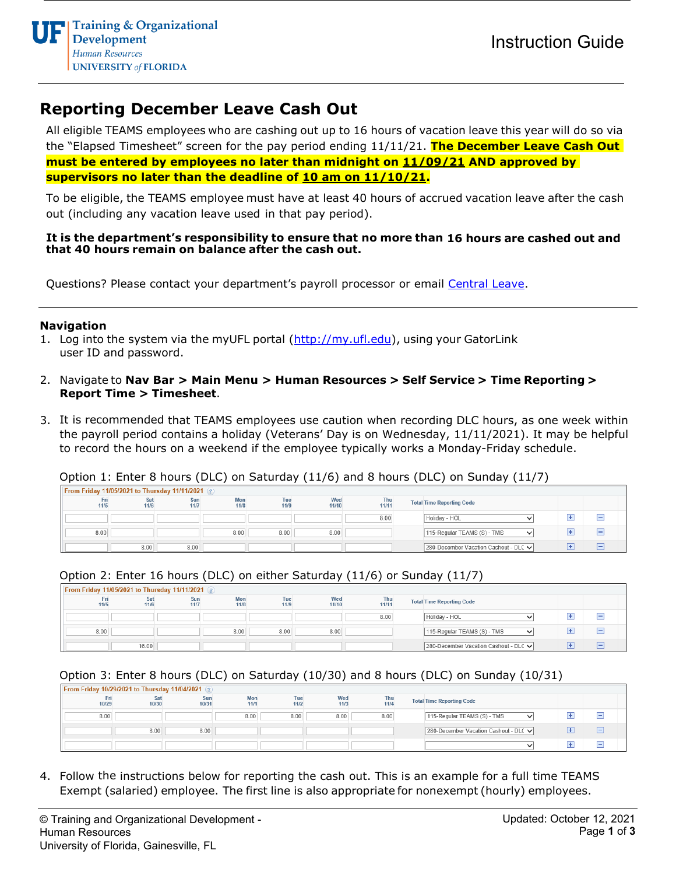# **Reporting December Leave Cash Out**

All eligible TEAMS employees who are cashing out up to 16 hours of vacation leave this year will do so via the "Elapsed Timesheet" screen for the pay period ending 11/11/21. **The December Leave Cash Out must be entered by employees no later than midnight on 11/09/21 AND approved by supervisors no later than the deadline of 10 am on 11/10/21.**

To be eligible, the TEAMS employee must have at least 40 hours of accrued vacation leave after the cash out (including any vacation leave used in that pay period).

#### **It is the department's responsibility to ensure that no more than 16 hours are cashed out and that 40 hours remain on balance after the cash out.**

Questions? Please contact your department's payroll processor or email [Central Leave.](mailto:central-leave@ufl.edu)

#### **Navigation**

- 1. Log into the system via the myUFL portal [\(http://my.ufl.edu\)](http://my.ufl.edu/), using your GatorLink user ID and password.
- 2. Navigate to **Nav Bar > Main Menu > Human Resources > Self Service > Time Reporting > Report Time > Timesheet**.
- 3. It is recommended that TEAMS employees use caution when recording DLC hours, as one week within the payroll period contains a holiday (Veterans' Day is on Wednesday, 11/11/2021). It may be helpful to record the hours on a weekend if the employee typically works a Monday-Friday schedule.

Option 1: Enter 8 hours (DLC) on Saturday (11/6) and 8 hours (DLC) on Sunday (11/7)

| <b>From Friday 11/05/2021 to Thursday 11/11/2021</b> (2) |             |             |                    |             |              |              |  |                                             |   |   |  |
|----------------------------------------------------------|-------------|-------------|--------------------|-------------|--------------|--------------|--|---------------------------------------------|---|---|--|
| Fri<br>11/5                                              | Sat<br>11/6 | Sun<br>11/7 | <b>Mon</b><br>11/8 | Tue<br>11/9 | Wed<br>11/10 | Thu<br>11/11 |  | <b>Total Time Reporting Code</b>            |   |   |  |
|                                                          |             |             |                    |             |              | 8.00         |  | Holiday - HOL                               | ÷ |   |  |
| 8.00                                                     |             |             | 8.00               | 8.00        | 8.00         |              |  | 115-Regular TEAMS (S) - TMS<br>$\checkmark$ |   | - |  |
|                                                          | 8.00        | 8.00        |                    |             |              |              |  | 280-December Vacation Cashout - DLC V       |   | − |  |

#### Option 2: Enter 16 hours (DLC) on either Saturday (11/6) or Sunday (11/7)

| From Friday 11/05/2021 to Thursday 11/11/2021 2 |             |             |             |             |              |              |  |                                             |  |  |  |
|-------------------------------------------------|-------------|-------------|-------------|-------------|--------------|--------------|--|---------------------------------------------|--|--|--|
| Fri<br>11/5                                     | Sat<br>11/6 | Sun<br>11/7 | Mon<br>11/8 | Tue<br>11/9 | Wed<br>11/10 | Thu<br>11/11 |  | <b>Total Time Reporting Code</b>            |  |  |  |
|                                                 |             |             |             |             |              | 8.00         |  | Holiday - HOL<br>ີ                          |  |  |  |
| 8.00                                            |             |             | 8.00        | 8.00        | 8.00         |              |  | 115-Regular TEAMS (S) - TMS<br>$\checkmark$ |  |  |  |
|                                                 | 16.00       |             |             |             |              |              |  | 280-December Vacation Cashout - DLC V       |  |  |  |

Option 3: Enter 8 hours (DLC) on Saturday (10/30) and 8 hours (DLC) on Sunday (10/31)

| <b>From Friday 10/29/2021 to Thursday 11/04/2021</b> |              |              |             |             |             |             |  |                                            |  |   |
|------------------------------------------------------|--------------|--------------|-------------|-------------|-------------|-------------|--|--------------------------------------------|--|---|
| Fri<br>10/29                                         | Sat<br>10/30 | Sun<br>10/31 | Mon<br>11/1 | Tue<br>11/2 | Wed<br>11/3 | Thu<br>11/4 |  | <b>Total Time Reporting Code</b>           |  |   |
| 8.00                                                 |              |              | 8.00        | 8.00        | 8.00        | 8.00        |  | 115-Regular TEAMS (S) - TMS<br>$\check{ }$ |  |   |
|                                                      | 8.00         | 8.00         |             |             |             |             |  | 280-December Vacation Cashout - DLC V      |  | - |
|                                                      |              |              |             |             |             |             |  |                                            |  |   |

4. Follow the instructions below for reporting the cash out. This is an example for a full time TEAMS Exempt (salaried) employee. The first line is also appropriate for nonexempt (hourly) employees.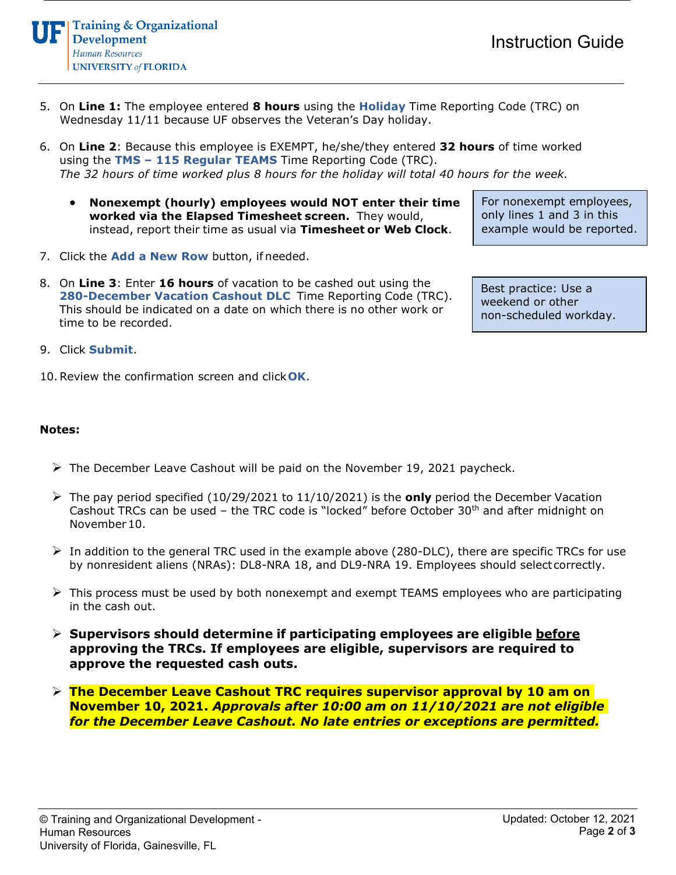**Training & Organizational Development** Human Resources **UNIVERSITY of FLORIDA** 

- 5. On **Line 1:** The employee entered **8 hours** using the **Holiday** Time Reporting Code (TRC) on Wednesday 11/11 because UF observes the Veteran's Day holiday.
- 6. On **Line 2**: Because this employee is EXEMPT, he/she/they entered **32 hours** of time worked using the **TMS – 115 Regular TEAMS** Time Reporting Code (TRC). *The 32 hours of time worked plus 8 hours for the holiday will total 40 hours for the week.*
	- **Nonexempt (hourly) employees would NOT enter their time worked via the Elapsed Timesheet screen.** They would, instead, report their time as usual via **Timesheet or Web Clock**.
- 7. Click the **Add a New Row** button, if needed.
- 8. On **Line 3**: Enter **16 hours** of vacation to be cashed out using the **280-December Vacation Cashout DLC** Time Reporting Code (TRC). This should be indicated on a date on which there is no other work or time to be recorded.
- 9. Click **Submit**.
- 10.Review the confirmation screen and click**OK**.

### **Notes:**

- $\triangleright$  The December Leave Cashout will be paid on the November 19, 2021 paycheck.
- The pay period specified (10/29/2021 to 11/10/2021) is the **only** period the December Vacation Cashout TRCs can be used – the TRC code is "locked" before October  $30<sup>th</sup>$  and after midnight on November10.
- $\triangleright$  In addition to the general TRC used in the example above (280-DLC), there are specific TRCs for use by nonresident aliens (NRAs): DL8-NRA 18, and DL9-NRA 19. Employees should selectcorrectly.
- $\triangleright$  This process must be used by both nonexempt and exempt TEAMS employees who are participating in the cash out.
- **Supervisors should determine if participating employees are eligible before approving the TRCs. If employees are eligible, supervisors are required to approve the requested cash outs.**
- **The December Leave Cashout TRC requires supervisor approval by 10 am on November 10, 2021.** *Approvals after 10:00 am on 11/10/2021 are not eligible for the December Leave Cashout. No late entries or exceptions are permitted.*

For nonexempt employees, only lines 1 and 3 in this example would be reported.

Best practice: Use a weekend or other non-scheduled workday.